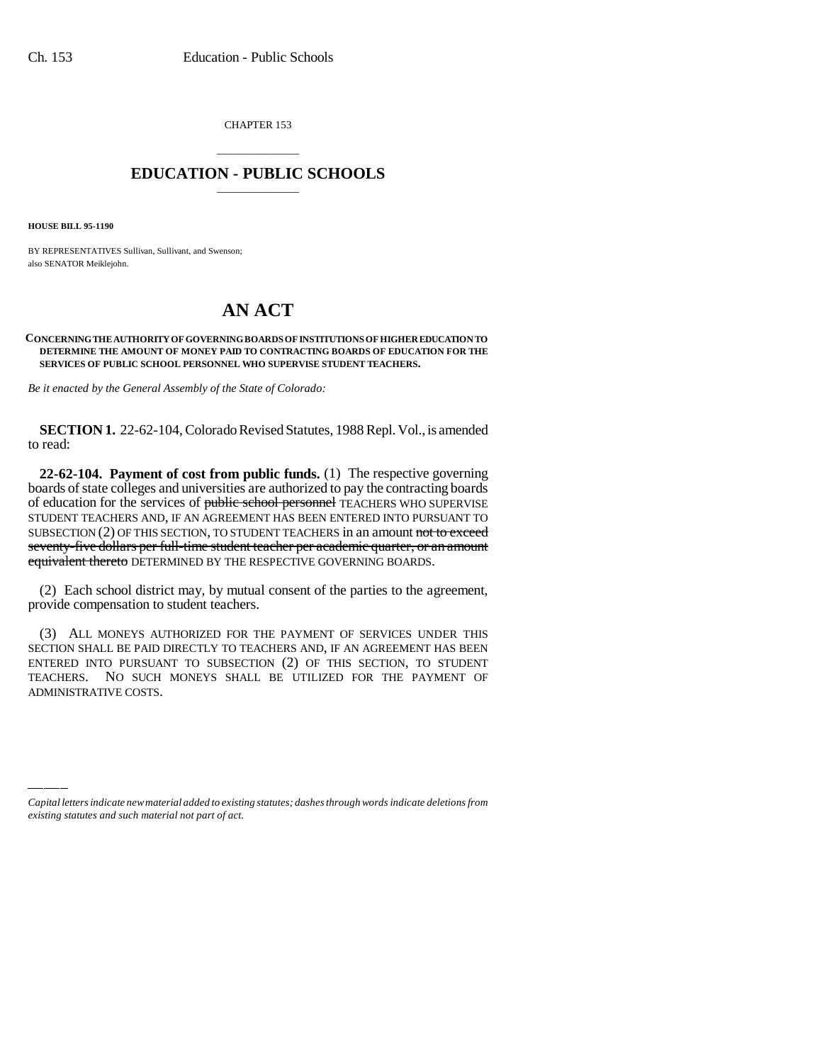CHAPTER 153

## \_\_\_\_\_\_\_\_\_\_\_\_\_\_\_ **EDUCATION - PUBLIC SCHOOLS** \_\_\_\_\_\_\_\_\_\_\_\_\_\_\_

**HOUSE BILL 95-1190**

BY REPRESENTATIVES Sullivan, Sullivant, and Swenson; also SENATOR Meiklejohn.

## **AN ACT**

## **CONCERNING THE AUTHORITY OF GOVERNING BOARDS OF INSTITUTIONS OF HIGHER EDUCATION TO DETERMINE THE AMOUNT OF MONEY PAID TO CONTRACTING BOARDS OF EDUCATION FOR THE SERVICES OF PUBLIC SCHOOL PERSONNEL WHO SUPERVISE STUDENT TEACHERS.**

*Be it enacted by the General Assembly of the State of Colorado:*

**SECTION 1.** 22-62-104, Colorado Revised Statutes, 1988 Repl. Vol., is amended to read:

**22-62-104. Payment of cost from public funds.** (1) The respective governing boards of state colleges and universities are authorized to pay the contracting boards of education for the services of public school personnel TEACHERS WHO SUPERVISE STUDENT TEACHERS AND, IF AN AGREEMENT HAS BEEN ENTERED INTO PURSUANT TO SUBSECTION  $(2)$  OF THIS SECTION, TO STUDENT TEACHERS in an amount not to exceed seventy-five dollars per full-time student teacher per academic quarter, or an amount equivalent thereto DETERMINED BY THE RESPECTIVE GOVERNING BOARDS.

(2) Each school district may, by mutual consent of the parties to the agreement, provide compensation to student teachers.

ADMINISTRATIVE COSTS.(3) ALL MONEYS AUTHORIZED FOR THE PAYMENT OF SERVICES UNDER THIS SECTION SHALL BE PAID DIRECTLY TO TEACHERS AND, IF AN AGREEMENT HAS BEEN ENTERED INTO PURSUANT TO SUBSECTION (2) OF THIS SECTION, TO STUDENT TEACHERS. NO SUCH MONEYS SHALL BE UTILIZED FOR THE PAYMENT OF

*Capital letters indicate new material added to existing statutes; dashes through words indicate deletions from existing statutes and such material not part of act.*